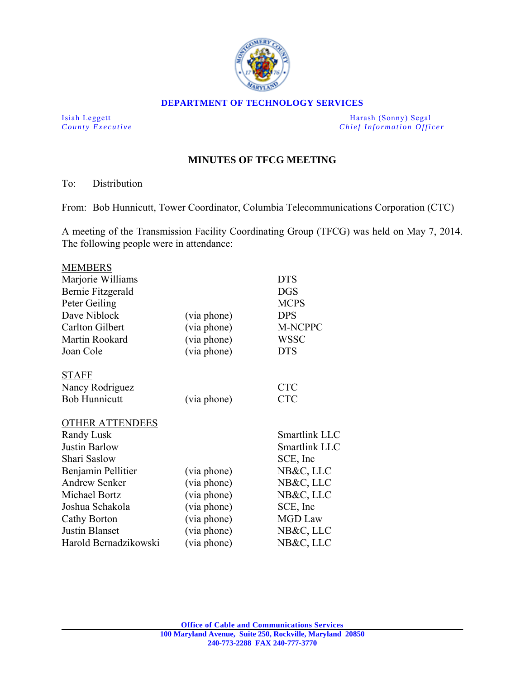

#### **DEPARTMENT OF TECHNOLOGY SERVICES**

Isiah Leggett Harash (Sonny) Segal *County Executive County Executive Chief Information Officer* 

# **MINUTES OF TFCG MEETING**

#### To: Distribution

From: Bob Hunnicutt, Tower Coordinator, Columbia Telecommunications Corporation (CTC)

A meeting of the Transmission Facility Coordinating Group (TFCG) was held on May 7, 2014. The following people were in attendance:

| <b>MEMBERS</b>         |             |                |
|------------------------|-------------|----------------|
| Marjorie Williams      |             | <b>DTS</b>     |
| Bernie Fitzgerald      |             | <b>DGS</b>     |
| Peter Geiling          |             | <b>MCPS</b>    |
| Dave Niblock           | (via phone) | <b>DPS</b>     |
| <b>Carlton Gilbert</b> | (via phone) | M-NCPPC        |
| Martin Rookard         | (via phone) | <b>WSSC</b>    |
| Joan Cole              | (via phone) | <b>DTS</b>     |
| <b>STAFF</b>           |             |                |
| Nancy Rodriguez        |             | <b>CTC</b>     |
| <b>Bob Hunnicutt</b>   | (via phone) | <b>CTC</b>     |
| <b>OTHER ATTENDEES</b> |             |                |
| Randy Lusk             |             | Smartlink LLC  |
| <b>Justin Barlow</b>   |             | Smartlink LLC  |
| Shari Saslow           |             | SCE, Inc       |
| Benjamin Pellitier     | (via phone) | NB&C, LLC      |
| <b>Andrew Senker</b>   | (via phone) | NB&C, LLC      |
| Michael Bortz          | (via phone) | NB&C, LLC      |
| Joshua Schakola        | (via phone) | SCE, Inc.      |
| Cathy Borton           | (via phone) | <b>MGD</b> Law |
| <b>Justin Blanset</b>  | (via phone) | NB&C, LLC      |
| Harold Bernadzikowski  | (via phone) | NB&C, LLC      |
|                        |             |                |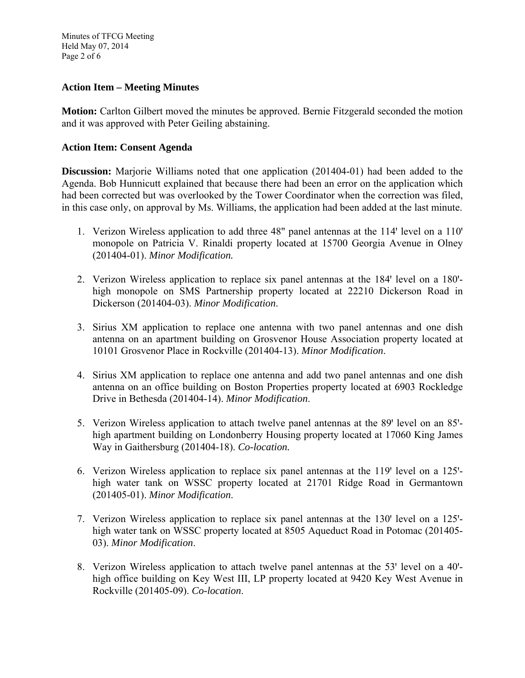Minutes of TFCG Meeting Held May 07, 2014 Page 2 of 6

### **Action Item – Meeting Minutes**

**Motion:** Carlton Gilbert moved the minutes be approved. Bernie Fitzgerald seconded the motion and it was approved with Peter Geiling abstaining.

### **Action Item: Consent Agenda**

**Discussion:** Marjorie Williams noted that one application (201404-01) had been added to the Agenda. Bob Hunnicutt explained that because there had been an error on the application which had been corrected but was overlooked by the Tower Coordinator when the correction was filed, in this case only, on approval by Ms. Williams, the application had been added at the last minute.

- 1. Verizon Wireless application to add three 48" panel antennas at the 114' level on a 110' monopole on Patricia V. Rinaldi property located at 15700 Georgia Avenue in Olney (201404-01). *Minor Modification.*
- 2. Verizon Wireless application to replace six panel antennas at the 184' level on a 180'high monopole on SMS Partnership property located at 22210 Dickerson Road in Dickerson (201404-03). *Minor Modification*.
- 3. Sirius XM application to replace one antenna with two panel antennas and one dish antenna on an apartment building on Grosvenor House Association property located at 10101 Grosvenor Place in Rockville (201404-13). *Minor Modification*.
- 4. Sirius XM application to replace one antenna and add two panel antennas and one dish antenna on an office building on Boston Properties property located at 6903 Rockledge Drive in Bethesda (201404-14). *Minor Modification*.
- 5. Verizon Wireless application to attach twelve panel antennas at the 89' level on an 85'high apartment building on Londonberry Housing property located at 17060 King James Way in Gaithersburg (201404-18). *Co-location.*
- 6. Verizon Wireless application to replace six panel antennas at the 119' level on a 125'high water tank on WSSC property located at 21701 Ridge Road in Germantown (201405-01). *Minor Modification*.
- 7. Verizon Wireless application to replace six panel antennas at the 130' level on a 125'high water tank on WSSC property located at 8505 Aqueduct Road in Potomac (201405- 03). *Minor Modification*.
- 8. Verizon Wireless application to attach twelve panel antennas at the 53' level on a 40'high office building on Key West III, LP property located at 9420 Key West Avenue in Rockville (201405-09). *Co-location*.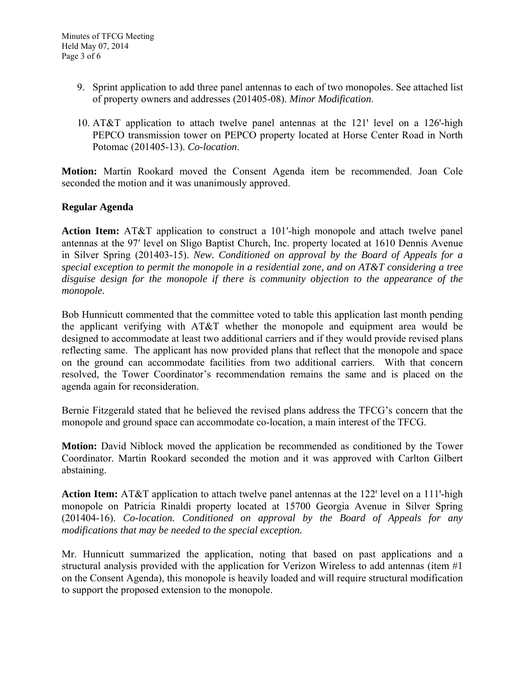- 9. Sprint application to add three panel antennas to each of two monopoles. See attached list of property owners and addresses (201405-08). *Minor Modification*.
- 10. AT&T application to attach twelve panel antennas at the  $121'$  level on a  $126'$ -high PEPCO transmission tower on PEPCO property located at Horse Center Road in North Potomac (201405-13). *Co-location*.

**Motion:** Martin Rookard moved the Consent Agenda item be recommended. Joan Cole seconded the motion and it was unanimously approved.

## **Regular Agenda**

**Action Item:** AT&T application to construct a 101ʹ-high monopole and attach twelve panel antennas at the 97ʹ level on Sligo Baptist Church, Inc. property located at 1610 Dennis Avenue in Silver Spring (201403-15). *New. Conditioned on approval by the Board of Appeals for a special exception to permit the monopole in a residential zone, and on AT&T considering a tree disguise design for the monopole if there is community objection to the appearance of the monopole.* 

Bob Hunnicutt commented that the committee voted to table this application last month pending the applicant verifying with AT&T whether the monopole and equipment area would be designed to accommodate at least two additional carriers and if they would provide revised plans reflecting same. The applicant has now provided plans that reflect that the monopole and space on the ground can accommodate facilities from two additional carriers. With that concern resolved, the Tower Coordinator's recommendation remains the same and is placed on the agenda again for reconsideration.

Bernie Fitzgerald stated that he believed the revised plans address the TFCG's concern that the monopole and ground space can accommodate co-location, a main interest of the TFCG.

**Motion:** David Niblock moved the application be recommended as conditioned by the Tower Coordinator. Martin Rookard seconded the motion and it was approved with Carlton Gilbert abstaining.

Action Item: AT&T application to attach twelve panel antennas at the 122' level on a 111'-high monopole on Patricia Rinaldi property located at 15700 Georgia Avenue in Silver Spring (201404-16). *Co-location. Conditioned on approval by the Board of Appeals for any modifications that may be needed to the special exception.* 

Mr. Hunnicutt summarized the application, noting that based on past applications and a structural analysis provided with the application for Verizon Wireless to add antennas (item #1 on the Consent Agenda), this monopole is heavily loaded and will require structural modification to support the proposed extension to the monopole.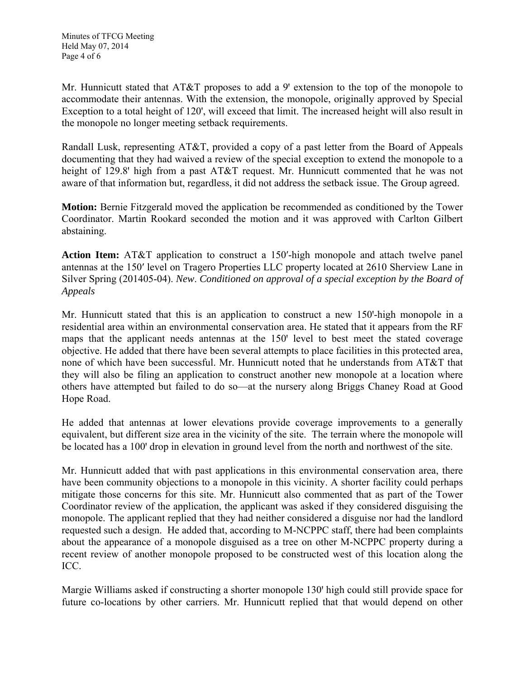Mr. Hunnicutt stated that  $AT&T$  proposes to add a 9' extension to the top of the monopole to accommodate their antennas. With the extension, the monopole, originally approved by Special Exception to a total height of 120', will exceed that limit. The increased height will also result in the monopole no longer meeting setback requirements.

Randall Lusk, representing AT&T, provided a copy of a past letter from the Board of Appeals documenting that they had waived a review of the special exception to extend the monopole to a height of 129.8' high from a past AT&T request. Mr. Hunnicutt commented that he was not aware of that information but, regardless, it did not address the setback issue. The Group agreed.

**Motion:** Bernie Fitzgerald moved the application be recommended as conditioned by the Tower Coordinator. Martin Rookard seconded the motion and it was approved with Carlton Gilbert abstaining.

**Action Item:** AT&T application to construct a 150ʹ-high monopole and attach twelve panel antennas at the 150ʹ level on Tragero Properties LLC property located at 2610 Sherview Lane in Silver Spring (201405-04). *New*. *Conditioned on approval of a special exception by the Board of Appeals* 

Mr. Hunnicutt stated that this is an application to construct a new 150-high monopole in a residential area within an environmental conservation area. He stated that it appears from the RF maps that the applicant needs antennas at the 150' level to best meet the stated coverage objective. He added that there have been several attempts to place facilities in this protected area, none of which have been successful. Mr. Hunnicutt noted that he understands from AT&T that they will also be filing an application to construct another new monopole at a location where others have attempted but failed to do so—at the nursery along Briggs Chaney Road at Good Hope Road.

He added that antennas at lower elevations provide coverage improvements to a generally equivalent, but different size area in the vicinity of the site. The terrain where the monopole will be located has a 100' drop in elevation in ground level from the north and northwest of the site.

Mr. Hunnicutt added that with past applications in this environmental conservation area, there have been community objections to a monopole in this vicinity. A shorter facility could perhaps mitigate those concerns for this site. Mr. Hunnicutt also commented that as part of the Tower Coordinator review of the application, the applicant was asked if they considered disguising the monopole. The applicant replied that they had neither considered a disguise nor had the landlord requested such a design. He added that, according to M-NCPPC staff, there had been complaints about the appearance of a monopole disguised as a tree on other M-NCPPC property during a recent review of another monopole proposed to be constructed west of this location along the ICC.

Margie Williams asked if constructing a shorter monopole 130' high could still provide space for future co-locations by other carriers. Mr. Hunnicutt replied that that would depend on other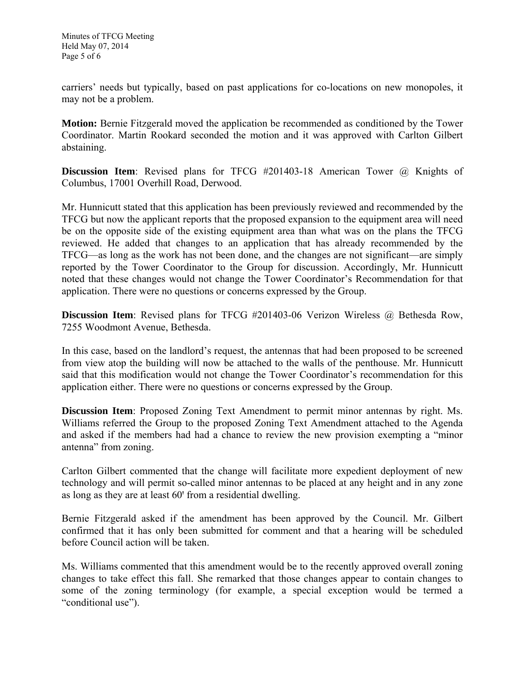carriers' needs but typically, based on past applications for co-locations on new monopoles, it may not be a problem.

**Motion:** Bernie Fitzgerald moved the application be recommended as conditioned by the Tower Coordinator. Martin Rookard seconded the motion and it was approved with Carlton Gilbert abstaining.

**Discussion Item**: Revised plans for TFCG #201403-18 American Tower @ Knights of Columbus, 17001 Overhill Road, Derwood.

Mr. Hunnicutt stated that this application has been previously reviewed and recommended by the TFCG but now the applicant reports that the proposed expansion to the equipment area will need be on the opposite side of the existing equipment area than what was on the plans the TFCG reviewed. He added that changes to an application that has already recommended by the TFCG—as long as the work has not been done, and the changes are not significant—are simply reported by the Tower Coordinator to the Group for discussion. Accordingly, Mr. Hunnicutt noted that these changes would not change the Tower Coordinator's Recommendation for that application. There were no questions or concerns expressed by the Group.

**Discussion Item**: Revised plans for TFCG #201403-06 Verizon Wireless @ Bethesda Row, 7255 Woodmont Avenue, Bethesda.

In this case, based on the landlord's request, the antennas that had been proposed to be screened from view atop the building will now be attached to the walls of the penthouse. Mr. Hunnicutt said that this modification would not change the Tower Coordinator's recommendation for this application either. There were no questions or concerns expressed by the Group.

**Discussion Item**: Proposed Zoning Text Amendment to permit minor antennas by right. Ms. Williams referred the Group to the proposed Zoning Text Amendment attached to the Agenda and asked if the members had had a chance to review the new provision exempting a "minor antenna" from zoning.

Carlton Gilbert commented that the change will facilitate more expedient deployment of new technology and will permit so-called minor antennas to be placed at any height and in any zone as long as they are at least 60' from a residential dwelling.

Bernie Fitzgerald asked if the amendment has been approved by the Council. Mr. Gilbert confirmed that it has only been submitted for comment and that a hearing will be scheduled before Council action will be taken.

Ms. Williams commented that this amendment would be to the recently approved overall zoning changes to take effect this fall. She remarked that those changes appear to contain changes to some of the zoning terminology (for example, a special exception would be termed a "conditional use").